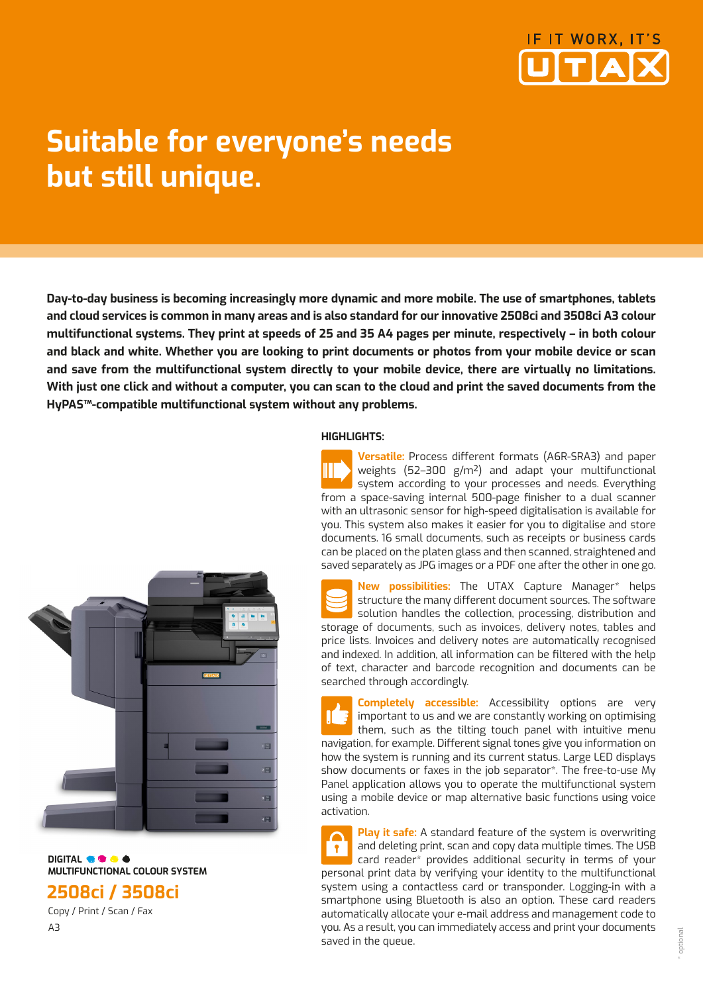

# **Suitable for everyone's needs but still unique.**

**Day-to-day business is becoming increasingly more dynamic and more mobile. The use of smartphones, tablets and cloud services is common in many areas and is also standard for our innovative 2508ci and 3508ci A3 colour multifunctional systems. They print at speeds of 25 and 35 A4 pages per minute, respectively – in both colour and black and white. Whether you are looking to print documents or photos from your mobile device or scan and save from the multifunctional system directly to your mobile device, there are virtually no limitations. With just one click and without a computer, you can scan to the cloud and print the saved documents from the HyPAS™-compatible multifunctional system without any problems.** 

### **HIGHLIGHTS:**

**Versatile:** Process different formats (A6R-SRA3) and paper weights (52–300 g/m²) and adapt your multifunctional system according to your processes and needs. Everything from a space-saving internal 500-page finisher to a dual scanner with an ultrasonic sensor for high-speed digitalisation is available for you. This system also makes it easier for you to digitalise and store documents. 16 small documents, such as receipts or business cards can be placed on the platen glass and then scanned, straightened and saved separately as JPG images or a PDF one after the other in one go.

**New possibilities:** The UTAX Capture Manager\* helps structure the many different document sources. The software solution handles the collection, processing, distribution and storage of documents, such as invoices, delivery notes, tables and price lists. Invoices and delivery notes are automatically recognised and indexed. In addition, all information can be filtered with the help of text, character and barcode recognition and documents can be searched through accordingly.

**Completely accessible:** Accessibility options are very important to us and we are constantly working on optimising them, such as the tilting touch panel with intuitive menu navigation, for example. Different signal tones give you information on how the system is running and its current status. Large LED displays show documents or faxes in the job separator\*. The free-to-use My Panel application allows you to operate the multifunctional system using a mobile device or map alternative basic functions using voice activation.

**Play it safe:** A standard feature of the system is overwriting and deleting print, scan and copy data multiple times. The USB card reader\* provides additional security in terms of your personal print data by verifying your identity to the multifunctional system using a contactless card or transponder. Logging-in with a smartphone using Bluetooth is also an option. These card readers automatically allocate your e-mail address and management code to you. As a result, you can immediately access and print your documents saved in the queue.



**DIGITAL OF CALC MULTIFUNCTIONAL COLOUR SYSTEM** 

## **2508ci / 3508ci**

 Copy / Print / Scan / Fax A3